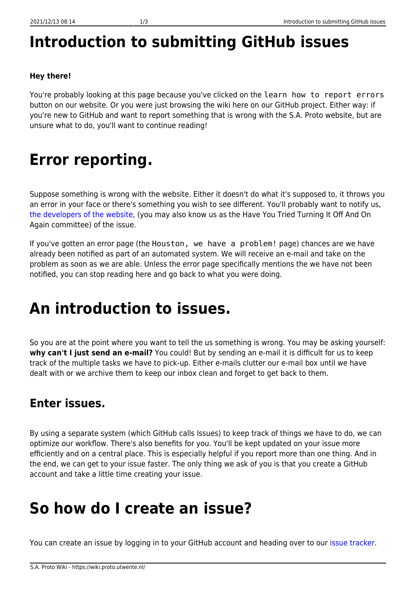# **Introduction to submitting GitHub issues**

### **Hey there!**

You're probably looking at this page because you've clicked on the learn how to report errors button on our website. Or you were just browsing the wiki here on our GitHub project. Either way: if you're new to GitHub and want to report something that is wrong with the S.A. Proto website, but are unsure what to do, you'll want to continue reading!

## **Error reporting.**

Suppose something is wrong with the website. Either it doesn't do what it's supposed to, it throws you an error in your face or there's something you wish to see different. You'll probably want to notify us, [the developers of the website](https://www.haveyoutriedturningitoffandonagain.nl), (you may also know us as the Have You Tried Turning It Off And On Again committee) of the issue.

If you've gotten an error page (the Houston, we have a problem! page) chances are we have already been notified as part of an automated system. We will receive an e-mail and take on the problem as soon as we are able. Unless the error page specifically mentions the we have not been notified, you can stop reading here and go back to what you were doing.

# **An introduction to issues.**

So you are at the point where you want to tell the us something is wrong. You may be asking yourself: **why can't I just send an e-mail?** You could! But by sending an e-mail it is difficult for us to keep track of the multiple tasks we have to pick-up. Either e-mails clutter our e-mail box until we have dealt with or we archive them to keep our inbox clean and forget to get back to them.

### **Enter issues.**

By using a separate system (which GitHub calls Issues) to keep track of things we have to do, we can optimize our workflow. There's also benefits for you. You'll be kept updated on your issue more efficiently and on a central place. This is especially helpful if you report more than one thing. And in the end, we can get to your issue faster. The only thing we ask of you is that you create a GitHub account and take a little time creating your issue.

### **So how do I create an issue?**

You can create an issue by logging in to your GitHub account and heading over to our [issue tracker](https://github.com/saproto/saproto/issues).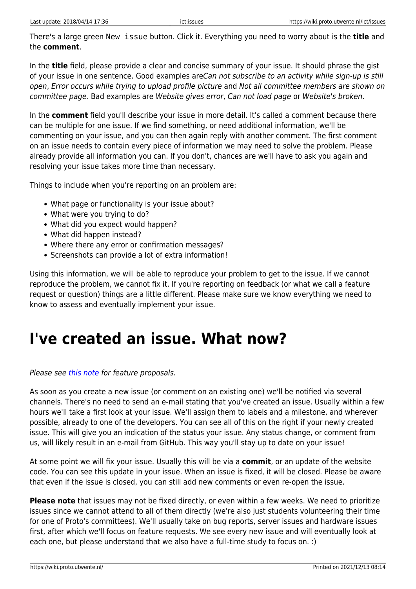There's a large green New issue button. Click it. Everything you need to worry about is the **title** and the **comment**.

In the **title** field, please provide a clear and concise summary of your issue. It should phrase the gist of your issue in one sentence. Good examples areCan not subscribe to an activity while sign-up is still open, Error occurs while trying to upload profile picture and Not all committee members are shown on committee page. Bad examples are Website gives error, Can not load page or Website's broken.

In the **comment** field you'll describe your issue in more detail. It's called a comment because there can be multiple for one issue. If we find something, or need additional information, we'll be commenting on your issue, and you can then again reply with another comment. The first comment on an issue needs to contain every piece of information we may need to solve the problem. Please already provide all information you can. If you don't, chances are we'll have to ask you again and resolving your issue takes more time than necessary.

Things to include when you're reporting on an problem are:

- What page or functionality is your issue about?
- What were you trying to do?
- What did you expect would happen?
- What did happen instead?
- Where there any error or confirmation messages?
- Screenshots can provide a lot of extra information!

Using this information, we will be able to reproduce your problem to get to the issue. If we cannot reproduce the problem, we cannot fix it. If you're reporting on feedback (or what we call a feature request or question) things are a little different. Please make sure we know everything we need to know to assess and eventually implement your issue.

## **I've created an issue. What now?**

#### Please see [this note](#page-1-0) for feature proposals.

As soon as you create a new issue (or comment on an existing one) we'll be notified via several channels. There's no need to send an e-mail stating that you've created an issue. Usually within a few hours we'll take a first look at your issue. We'll assign them to labels and a milestone, and wherever possible, already to one of the developers. You can see all of this on the right if your newly created issue. This will give you an indication of the status your issue. Any status change, or comment from us, will likely result in an e-mail from GitHub. This way you'll stay up to date on your issue!

At some point we will fix your issue. Usually this will be via a **commit**, or an update of the website code. You can see this update in your issue. When an issue is fixed, it will be closed. Please be aware that even if the issue is closed, you can still add new comments or even re-open the issue.

<span id="page-1-0"></span>**Please note** that issues may not be fixed directly, or even within a few weeks. We need to prioritize issues since we cannot attend to all of them directly (we're also just students volunteering their time for one of Proto's committees). We'll usually take on bug reports, server issues and hardware issues first, after which we'll focus on feature requests. We see every new issue and will eventually look at each one, but please understand that we also have a full-time study to focus on. :)